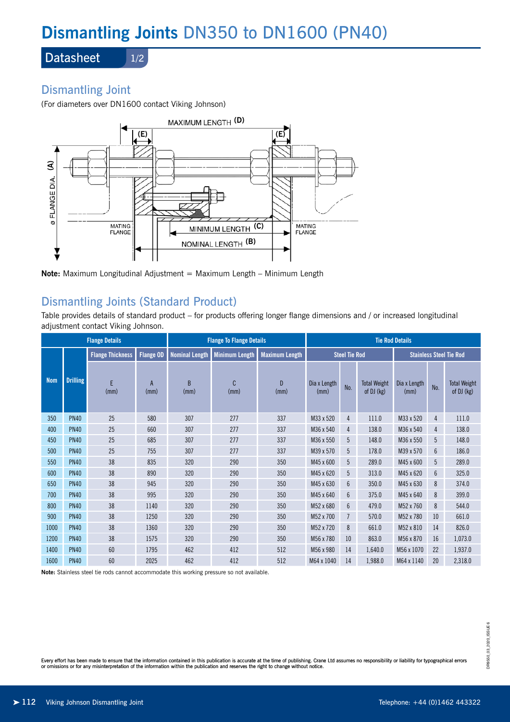# **Dismantling Joints** DN350 to DN1600 (PN40)

**Datasheet** 

### 1/2

# Dismantling Joint

(For diameters over DN1600 contact Viking Johnson)



**Note:** Maximum Longitudinal Adjustment = Maximum Length – Minimum Length

# Dismantling Joints (Standard Product)

Table provides details of standard product – for products offering longer flange dimensions and / or increased longitudinal adjustment contact Viking Johnson.

| <b>Flange Details</b> |                 |                         |                  | <b>Flange To Flange Details</b> |                       |                       | <b>Tie Rod Details</b> |                 |                                   |                                |     |                                   |
|-----------------------|-----------------|-------------------------|------------------|---------------------------------|-----------------------|-----------------------|------------------------|-----------------|-----------------------------------|--------------------------------|-----|-----------------------------------|
|                       |                 | <b>Flange Thickness</b> | <b>Flange OD</b> | <b>Nominal Length</b>           | <b>Minimum Length</b> | <b>Maximum Length</b> | <b>Steel Tie Rod</b>   |                 |                                   | <b>Stainless Steel Tie Rod</b> |     |                                   |
| <b>Nom</b>            | <b>Drilling</b> | E<br>(mm)               | A<br>(mm)        | R<br>(mm)                       | C<br>(mm)             | $\mathsf{D}$<br>(mm)  | Dia x Length<br>(mm)   | No.             | <b>Total Weight</b><br>of DJ (kg) | Dia x Length<br>(mm)           | No. | <b>Total Weight</b><br>of DJ (kg) |
| 350                   | <b>PN40</b>     | 25                      | 580              | 307                             | 277                   | 337                   | M33 x 520              | 4               | 111.0                             | M33 x 520                      | 4   | 111.0                             |
| 400                   | <b>PN40</b>     | 25                      | 660              | 307                             | 277                   | 337                   | M36 x 540              | 4               | 138.0                             | M36 x 540                      | 4   | 138.0                             |
| 450                   | <b>PN40</b>     | 25                      | 685              | 307                             | 277                   | 337                   | M36 x 550              | 5               | 148.0                             | M36 x 550                      | 5   | 148.0                             |
| 500                   | <b>PN40</b>     | 25                      | 755              | 307                             | 277                   | 337                   | M39 x 570              | 5               | 178.0                             | M39 x 570                      | 6   | 186.0                             |
| 550                   | <b>PN40</b>     | 38                      | 835              | 320                             | 290                   | 350                   | M45 x 600              | 5               | 289.0                             | M45 x 600                      | 5   | 289.0                             |
| 600                   | <b>PN40</b>     | 38                      | 890              | 320                             | 290                   | 350                   | M45 x 620              | 5               | 313.0                             | M45 x 620                      | 6   | 325.0                             |
| 650                   | <b>PN40</b>     | 38                      | 945              | 320                             | 290                   | 350                   | M45 x 630              | $6\phantom{.}6$ | 350.0                             | M45 x 630                      | 8   | 374.0                             |
| 700                   | <b>PN40</b>     | 38                      | 995              | 320                             | 290                   | 350                   | M45 x 640              | $6\phantom{1}$  | 375.0                             | M45 x 640                      | 8   | 399.0                             |
| 800                   | <b>PN40</b>     | 38                      | 1140             | 320                             | 290                   | 350                   | M52 x 680              | $6\phantom{1}$  | 479.0                             | M52 x 760                      | 8   | 544.0                             |
| 900                   | <b>PN40</b>     | 38                      | 1250             | 320                             | 290                   | 350                   | M52 x 700              | $\overline{7}$  | 570.0                             | M52 x 780                      | 10  | 661.0                             |
| 1000                  | <b>PN40</b>     | 38                      | 1360             | 320                             | 290                   | 350                   | M52 x 720              | 8               | 661.0                             | M52 x 810                      | 14  | 826.0                             |
| 1200                  | <b>PN40</b>     | 38                      | 1575             | 320                             | 290                   | 350                   | M56 x 780              | 10              | 863.0                             | M56 x 870                      | 16  | 1,073.0                           |
| 1400                  | <b>PN40</b>     | 60                      | 1795             | 462                             | 412                   | 512                   | M56 x 980              | 14              | 1,640.0                           | M56 x 1070                     | 22  | 1,937.0                           |
| 1600                  | <b>PN40</b>     | 60                      | 2025             | 462                             | 412                   | 512                   | M64 x 1040             | 14              | 1,988.0                           | M64 x 1140                     | 20  | 2,318.0                           |

**Note:** Stainless steel tie rods cannot accommodate this working pressure so not available.

Every effort has been made to ensure that the information contained in this publication is accurate at the time of publishing. Crane Ltd assumes no responsibility or liability for typographical errors or omissions or for any misinterpretation of the information within the publication and reserves the right to change without notice.